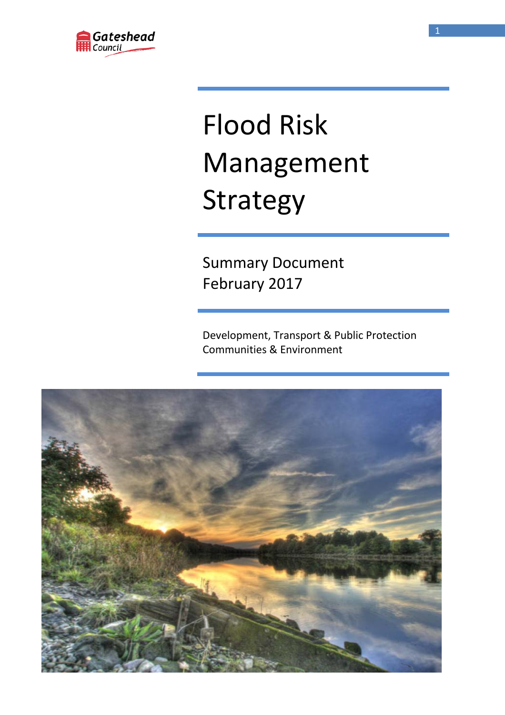

# Flood Risk Management Strategy

Summary Document February 2017

Development, Transport & Public Protection Communities & Environment

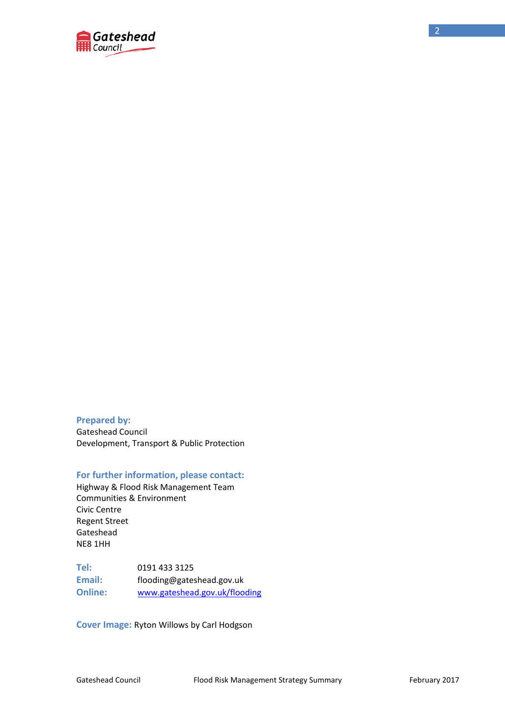

#### **Prepared by:**

Gateshead Council Development, Transport & Public Protection

#### **For further information, please contact:**

Highway & Flood Risk Management Team Communities & Environment Civic Centre Regent Street Gateshead NE8 1HH

**Tel:** 0191 433 3125 **Email:** flooding@gateshead.gov.uk **Online:** [www.gateshead.gov.uk/flooding](http://www.gateshead.gov.uk/flooding)

**Cover Image:** Ryton Willows by Carl Hodgson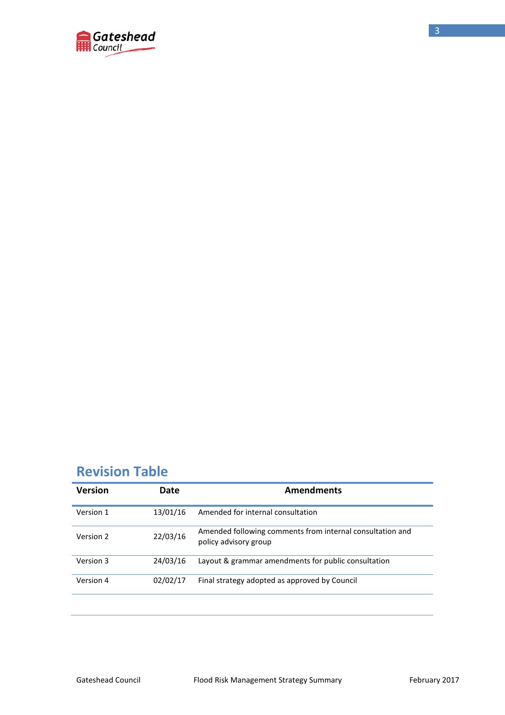

## **Revision Table**

| <b>Version</b> | Date     | <b>Amendments</b>                                                                  |
|----------------|----------|------------------------------------------------------------------------------------|
| Version 1      | 13/01/16 | Amended for internal consultation                                                  |
| Version 2      | 22/03/16 | Amended following comments from internal consultation and<br>policy advisory group |
| Version 3      | 24/03/16 | Layout & grammar amendments for public consultation                                |
| Version 4      | 02/02/17 | Final strategy adopted as approved by Council                                      |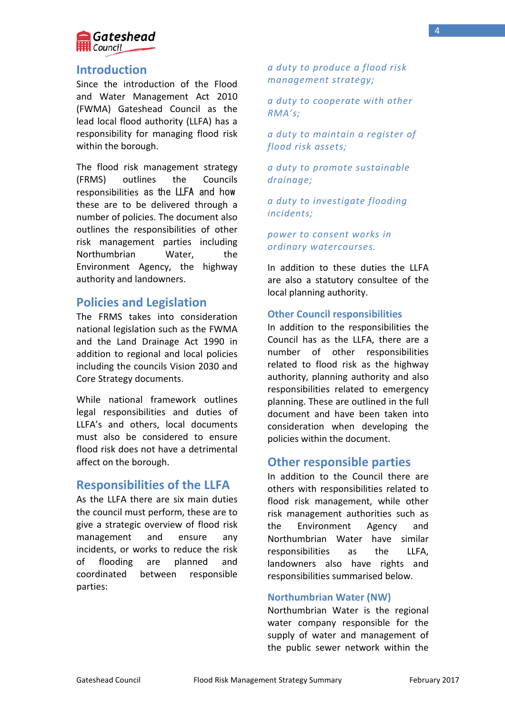

## **Introduction**

Since the introduction of the Flood and Water Management Act 2010 (FWMA) Gateshead Council as the lead local flood authority (LLFA) has a responsibility for managing flood risk within the borough.

The flood risk management strategy (FRMS) outlines the Councils responsibilities as the LLFA and how these are to be delivered through a number of policies. The document also outlines the responsibilities of other risk management parties including Northumbrian Water, the Environment Agency, the highway authority and landowners.

## **Policies and Legislation**

The FRMS takes into consideration national legislation such as the FWMA and the Land Drainage Act 1990 in addition to regional and local policies including the councils Vision 2030 and Core Strategy documents.

While national framework outlines legal responsibilities and duties of LLFA's and others, local documents must also be considered to ensure flood risk does not have a detrimental affect on the borough.

## **Responsibilities of the LLFA**

As the LLFA there are six main duties the council must perform, these are to give a strategic overview of flood risk management and ensure any incidents, or works to reduce the risk of flooding are planned and coordinated between responsible parties:

*a duty to produce a flood risk management strategy;* 

*a duty to cooperate with other RMA's;* 

*a duty to maintain a register of flood risk assets;* 

*a duty to promote sustainable drainage;* 

*a duty to investigate flooding incidents;* 

*power to consent works in ordinary watercourses.* 

In addition to these duties the LLFA are also a statutory consultee of the local planning authority.

#### **Other Council responsibilities**

In addition to the responsibilities the Council has as the LLFA, there are a number of other responsibilities related to flood risk as the highway authority, planning authority and also responsibilities related to emergency planning. These are outlined in the full document and have been taken into consideration when developing the policies within the document.

## **Other responsible parties**

In addition to the Council there are others with responsibilities related to flood risk management, while other risk management authorities such as the Environment Agency and Northumbrian Water have similar responsibilities as the LLFA, landowners also have rights and responsibilities summarised below.

#### **Northumbrian Water (NW)**

Northumbrian Water is the regional water company responsible for the supply of water and management of the public sewer network within the

4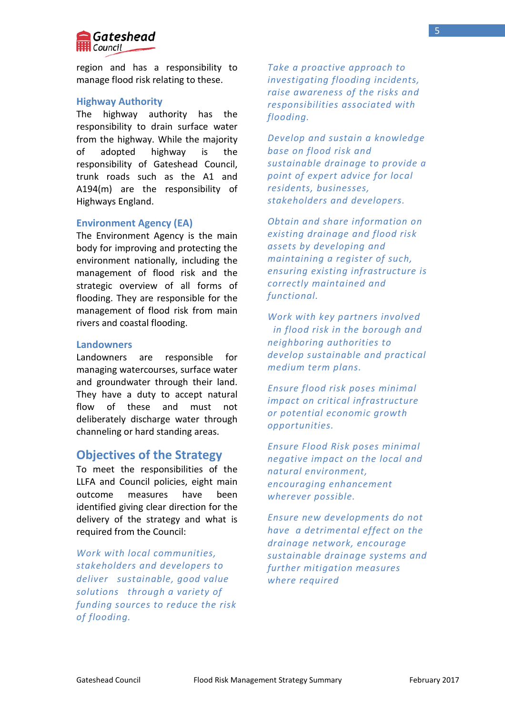

region and has a responsibility to manage flood risk relating to these.

#### **Highway Authority**

The highway authority has the responsibility to drain surface water from the highway. While the majority of adopted highway is the responsibility of Gateshead Council, trunk roads such as the A1 and A194(m) are the responsibility of Highways England.

#### **Environment Agency (EA)**

The Environment Agency is the main body for improving and protecting the environment nationally, including the management of flood risk and the strategic overview of all forms of flooding. They are responsible for the management of flood risk from main rivers and coastal flooding.

#### **Landowners**

Landowners are responsible for managing watercourses, surface water and groundwater through their land. They have a duty to accept natural flow of these and must not deliberately discharge water through channeling or hard standing areas.

## **Objectives of the Strategy**

To meet the responsibilities of the LLFA and Council policies, eight main outcome measures have been identified giving clear direction for the delivery of the strategy and what is required from the Council:

*Work with local communities, stakeholders and developers to deliver sustainable, good value solutions through a variety of funding sources to reduce the risk of flooding.* 

*Take a proactive approach to investigating flooding incidents, raise awareness of the risks and responsibilities associated with flooding.* 

*Develop and sustain a knowledge base on flood risk and sustainable drainage to provide a point of expert advice for local residents, businesses, stakeholders and developers.* 

*Obtain and share information on existing drainage and flood risk assets by developing and maintaining a register of such, ensuring existing infrastructure is correctly maintained and functional.* 

*Work with key partners involved in flood risk in the borough and neighboring authorities to develop sustainable and practical medium term plans.* 

*Ensure flood risk poses minimal impact on critical infrastructure or potential economic growth opportunities.* 

*Ensure Flood Risk poses minimal negative impact on the local and natural environment, encouraging enhancement wherever possible.* 

*Ensure new developments do not have a detrimental effect on the drainage network, encourage sustainable drainage systems and further mitigation measures where required*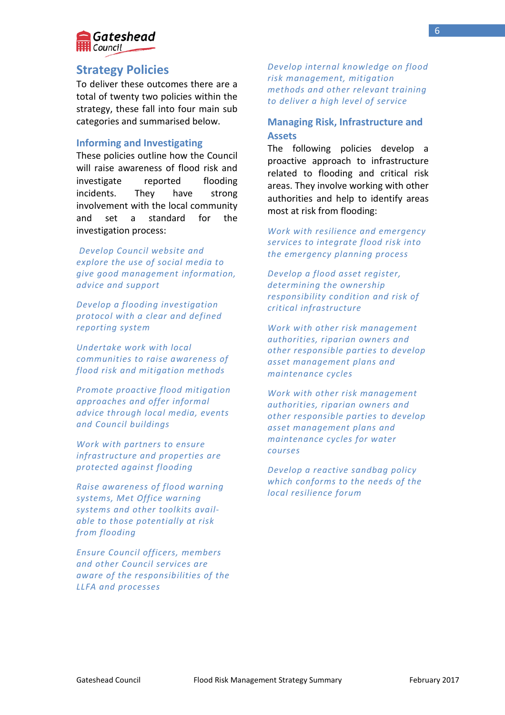

## **Strategy Policies**

To deliver these outcomes there are a total of twenty two policies within the strategy, these fall into four main sub categories and summarised below.

#### **Informing and Investigating**

These policies outline how the Council will raise awareness of flood risk and investigate reported flooding incidents. They have strong involvement with the local community and set a standard for the investigation process:

*Develop Council website and explore the use of social media to give good management information, advice and support* 

*Develop a flooding investigation protocol with a clear and defined reporting system* 

*Undertake work with local communities to raise awareness of flood risk and mitigation methods* 

*Promote proactive flood mitigation approaches and offer informal advice through local media, events and Council buildings* 

*Work with partners to ensure infrastructure and properties are protected against flooding* 

*Raise awareness of flood warning systems, Met Office warning systems and other toolkits available to those potentially at risk from flooding* 

*Ensure Council officers, members and other Council services are aware of the responsibilities of the LLFA and processes* 

*Develop internal knowledge on flood risk management, mitigation methods and other relevant training to deliver a high level of service*

## **Managing Risk, Infrastructure and Assets**

The following policies develop a proactive approach to infrastructure related to flooding and critical risk areas. They involve working with other authorities and help to identify areas most at risk from flooding:

*Work with resilience and emergency services to integrate flood risk into the emergency planning process*

*Develop a flood asset register, determining the ownership responsibility condition and risk of critical infrastructure* 

*Work with other risk management authorities, riparian owners and other responsible parties to develop asset management plans and maintenance cycles* 

*Work with other risk management authorities, riparian owners and other responsible parties to develop asset management plans and maintenance cycles for water courses* 

*Develop a reactive sandbag policy which conforms to the needs of the local resilience forum*